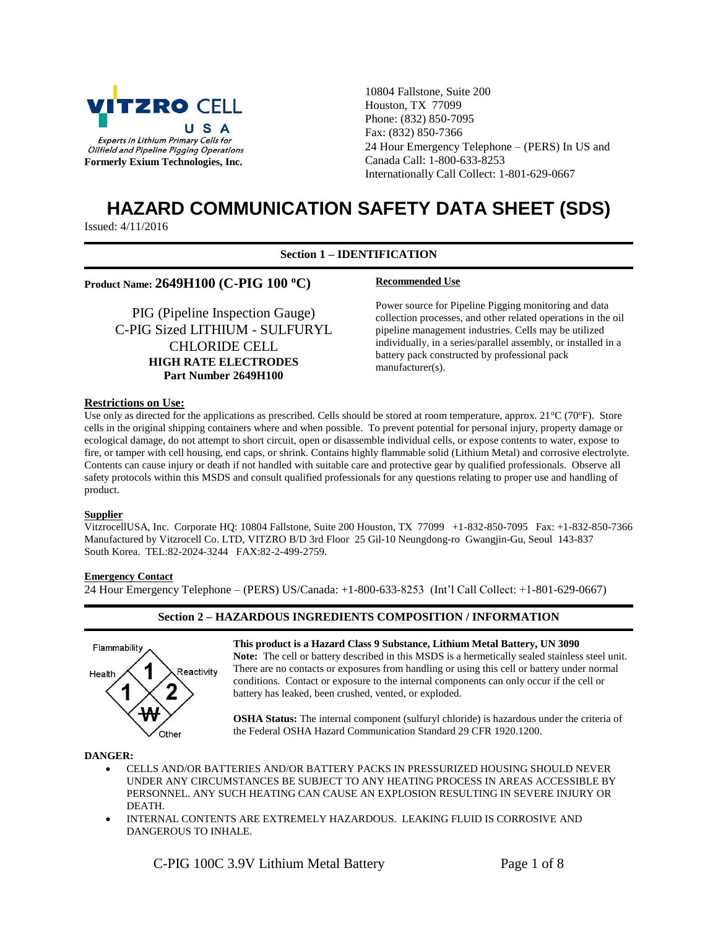

10804 Fallstone, Suite 200 Houston, TX 77099 Phone: (832) 850-7095 Fax: (832) 850-7366 24 Hour Emergency Telephone – (PERS) In US and Canada Call: 1-800-633-8253 Internationally Call Collect: 1-801-629-0667

# **HAZARD COMMUNICATION SAFETY DATA SHEET (SDS)**

Issued: 4/11/2016

# **Section 1 – IDENTIFICATION**

# **Product Name: 2649H100 (C-PIG 100 °C)** Recommended Use

PIG (Pipeline Inspection Gauge) C-PIG Sized LITHIUM - SULFURYL CHLORIDE CELL **HIGH RATE ELECTRODES Part Number 2649H100**

Power source for Pipeline Pigging monitoring and data collection processes, and other related operations in the oil pipeline management industries. Cells may be utilized individually, in a series/parallel assembly, or installed in a battery pack constructed by professional pack manufacturer(s).

#### **Restrictions on Use:**

Use only as directed for the applications as prescribed. Cells should be stored at room temperature, approx.  $21^{\circ}C(70^{\circ}F)$ . Store cells in the original shipping containers where and when possible. To prevent potential for personal injury, property damage or ecological damage, do not attempt to short circuit, open or disassemble individual cells, or expose contents to water, expose to fire, or tamper with cell housing, end caps, or shrink. Contains highly flammable solid (Lithium Metal) and corrosive electrolyte. Contents can cause injury or death if not handled with suitable care and protective gear by qualified professionals. Observe all safety protocols within this MSDS and consult qualified professionals for any questions relating to proper use and handling of product.

#### **Supplier**

VitzrocellUSA, Inc. Corporate HQ: 10804 Fallstone, Suite 200 Houston, TX 77099 +1-832-850-7095 Fax: +1-832-850-7366 Manufactured by Vitzrocell Co. LTD, VITZRO B/D 3rd Floor 25 Gil-10 Neungdong-ro Gwangjin-Gu, Seoul 143-837 South Korea. TEL:82-2024-3244 FAX:82-2-499-2759.

# **Emergency Contact**

24 Hour Emergency Telephone – (PERS) US/Canada: +1-800-633-8253 (Int'l Call Collect: +1-801-629-0667)

# **Section 2 – HAZARDOUS INGREDIENTS COMPOSITION / INFORMATION**



**This product is a Hazard Class 9 Substance, Lithium Metal Battery, UN 3090**

**Note:** The cell or battery described in this MSDS is a hermetically sealed stainless steel unit. There are no contacts or exposures from handling or using this cell or battery under normal conditions. Contact or exposure to the internal components can only occur if the cell or battery has leaked, been crushed, vented, or exploded.

**OSHA Status:** The internal component (sulfuryl chloride) is hazardous under the criteria of the Federal OSHA Hazard Communication Standard 29 CFR 1920.1200.

#### **DANGER:**

- CELLS AND/OR BATTERIES AND/OR BATTERY PACKS IN PRESSURIZED HOUSING SHOULD NEVER UNDER ANY CIRCUMSTANCES BE SUBJECT TO ANY HEATING PROCESS IN AREAS ACCESSIBLE BY PERSONNEL. ANY SUCH HEATING CAN CAUSE AN EXPLOSION RESULTING IN SEVERE INJURY OR DEATH.
- INTERNAL CONTENTS ARE EXTREMELY HAZARDOUS. LEAKING FLUID IS CORROSIVE AND DANGEROUS TO INHALE.

C-PIG 100C 3.9V Lithium Metal Battery Page 1 of 8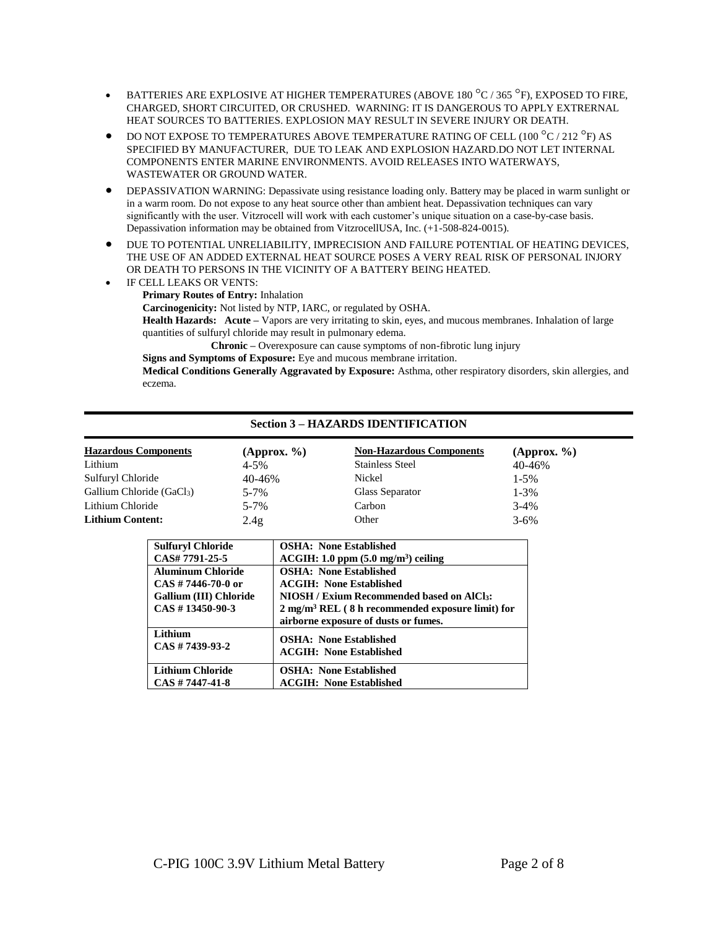- **BATTERIES ARE EXPLOSIVE AT HIGHER TEMPERATURES (ABOVE 180 °C / 365 °F), EXPOSED TO FIRE,** CHARGED, SHORT CIRCUITED, OR CRUSHED. WARNING: IT IS DANGEROUS TO APPLY EXTRERNAL HEAT SOURCES TO BATTERIES. EXPLOSION MAY RESULT IN SEVERE INJURY OR DEATH.
- $\bullet$  DO NOT EXPOSE TO TEMPERATURES ABOVE TEMPERATURE RATING OF CELL (100  $^{\circ}$ C / 212  $^{\circ}$ F) AS SPECIFIED BY MANUFACTURER, DUE TO LEAK AND EXPLOSION HAZARD.DO NOT LET INTERNAL COMPONENTS ENTER MARINE ENVIRONMENTS. AVOID RELEASES INTO WATERWAYS, WASTEWATER OR GROUND WATER.
- DEPASSIVATION WARNING: Depassivate using resistance loading only. Battery may be placed in warm sunlight or in a warm room. Do not expose to any heat source other than ambient heat. Depassivation techniques can vary significantly with the user. Vitzrocell will work with each customer's unique situation on a case-by-case basis. Depassivation information may be obtained from VitzrocellUSA, Inc. (+1-508-824-0015).
- DUE TO POTENTIAL UNRELIABILITY, IMPRECISION AND FAILURE POTENTIAL OF HEATING DEVICES, THE USE OF AN ADDED EXTERNAL HEAT SOURCE POSES A VERY REAL RISK OF PERSONAL INJORY OR DEATH TO PERSONS IN THE VICINITY OF A BATTERY BEING HEATED.
- IF CELL LEAKS OR VENTS: **Primary Routes of Entry:** Inhalation **Carcinogenicity:** Not listed by NTP, IARC, or regulated by OSHA.

**Health Hazards: Acute –** Vapors are very irritating to skin, eyes, and mucous membranes. Inhalation of large quantities of sulfuryl chloride may result in pulmonary edema.

**Chronic –** Overexposure can cause symptoms of non-fibrotic lung injury

**Signs and Symptoms of Exposure:** Eye and mucous membrane irritation.

**Medical Conditions Generally Aggravated by Exposure:** Asthma, other respiratory disorders, skin allergies, and eczema.

# **Section 3 – HAZARDS IDENTIFICATION**

| <b>Hazardous Components</b> | (Approx. % | <b>Non-Hazardous Components</b> | (Approx. % |
|-----------------------------|------------|---------------------------------|------------|
| Lithium                     | $4 - 5%$   | <b>Stainless Steel</b>          | 40-46%     |
| Sulfuryl Chloride           | 40-46%     | Nickel                          | $1 - 5\%$  |
| Gallium Chloride (GaCl3)    | $5 - 7%$   | Glass Separator                 | $1 - 3\%$  |
| Lithium Chloride            | $5 - 7%$   | Carbon                          | $3 - 4%$   |
| <b>Lithium Content:</b>     | 2.4g       | Other                           | $3 - 6\%$  |

| <b>Sulfuryl Chloride</b>                                                                           | <b>OSHA: None Established</b>                                                                                                                                                                                       |
|----------------------------------------------------------------------------------------------------|---------------------------------------------------------------------------------------------------------------------------------------------------------------------------------------------------------------------|
| CAS# 7791-25-5                                                                                     | $ACGIH: 1.0$ ppm $(5.0$ mg/m <sup>3</sup> ) ceiling                                                                                                                                                                 |
| <b>Aluminum Chloride</b><br>$CAS \# 7446-70-0$ or<br>Gallium (III) Chloride<br>$CAS \# 13450-90-3$ | <b>OSHA: None Established</b><br><b>ACGIH: None Established</b><br>NIOSH / Exium Recommended based on AICl3:<br>$2 \text{ mg/m}^3$ REL (8 h recommended exposure limit) for<br>airborne exposure of dusts or fumes. |
| Lithium                                                                                            | <b>OSHA: None Established</b>                                                                                                                                                                                       |
| $CAS \# 7439-93-2$                                                                                 | <b>ACGIH: None Established</b>                                                                                                                                                                                      |
| Lithium Chloride                                                                                   | <b>OSHA: None Established</b>                                                                                                                                                                                       |
| $CAS \# 7447 - 41 - 8$                                                                             | <b>ACGIH: None Established</b>                                                                                                                                                                                      |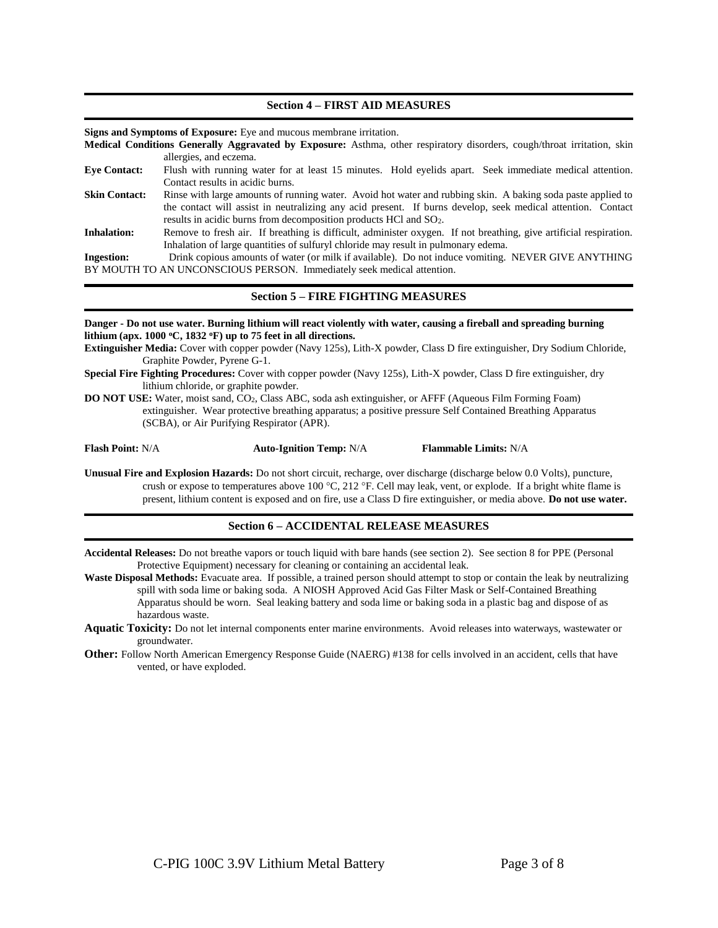#### **Section 4 – FIRST AID MEASURES**

**Signs and Symptoms of Exposure:** Eye and mucous membrane irritation.

**Medical Conditions Generally Aggravated by Exposure:** Asthma, other respiratory disorders, cough/throat irritation, skin allergies, and eczema.

- **Eye Contact:** Flush with running water for at least 15 minutes. Hold eyelids apart. Seek immediate medical attention. Contact results in acidic burns.
- **Skin Contact:** Rinse with large amounts of running water. Avoid hot water and rubbing skin. A baking soda paste applied to the contact will assist in neutralizing any acid present. If burns develop, seek medical attention. Contact results in acidic burns from decomposition products HCl and SO2.
- **Inhalation:** Remove to fresh air. If breathing is difficult, administer oxygen. If not breathing, give artificial respiration. Inhalation of large quantities of sulfuryl chloride may result in pulmonary edema.

**Ingestion:** Drink copious amounts of water (or milk if available). Do not induce vomiting. NEVER GIVE ANYTHING BY MOUTH TO AN UNCONSCIOUS PERSON. Immediately seek medical attention.

#### **Section 5 – FIRE FIGHTING MEASURES**

**Danger - Do not use water. Burning lithium will react violently with water, causing a fireball and spreading burning lithium (apx. 1000 <sup>o</sup>C, 1832 <sup>o</sup>F) up to 75 feet in all directions.**

**Extinguisher Media:** Cover with copper powder (Navy 125s), Lith-X powder, Class D fire extinguisher, Dry Sodium Chloride, Graphite Powder, Pyrene G-1.

- **Special Fire Fighting Procedures:** Cover with copper powder (Navy 125s), Lith-X powder, Class D fire extinguisher, dry lithium chloride, or graphite powder.
- **DO NOT USE:** Water, moist sand, CO2, Class ABC, soda ash extinguisher, or AFFF (Aqueous Film Forming Foam) extinguisher. Wear protective breathing apparatus; a positive pressure Self Contained Breathing Apparatus (SCBA), or Air Purifying Respirator (APR).

**Flash Point:** N/A **Auto-Ignition Temp:** N/A **Flammable Limits:** N/A

**Unusual Fire and Explosion Hazards:** Do not short circuit, recharge, over discharge (discharge below 0.0 Volts), puncture, crush or expose to temperatures above 100 °C, 212 °F. Cell may leak, vent, or explode. If a bright white flame is present, lithium content is exposed and on fire, use a Class D fire extinguisher, or media above. **Do not use water.**

#### **Section 6 – ACCIDENTAL RELEASE MEASURES**

**Accidental Releases:** Do not breathe vapors or touch liquid with bare hands (see section 2). See section 8 for PPE (Personal Protective Equipment) necessary for cleaning or containing an accidental leak.

Waste Disposal Methods: Evacuate area. If possible, a trained person should attempt to stop or contain the leak by neutralizing spill with soda lime or baking soda. A NIOSH Approved Acid Gas Filter Mask or Self-Contained Breathing Apparatus should be worn. Seal leaking battery and soda lime or baking soda in a plastic bag and dispose of as hazardous waste.

- **Aquatic Toxicity:** Do not let internal components enter marine environments. Avoid releases into waterways, wastewater or groundwater.
- **Other:** Follow North American Emergency Response Guide (NAERG) #138 for cells involved in an accident, cells that have vented, or have exploded.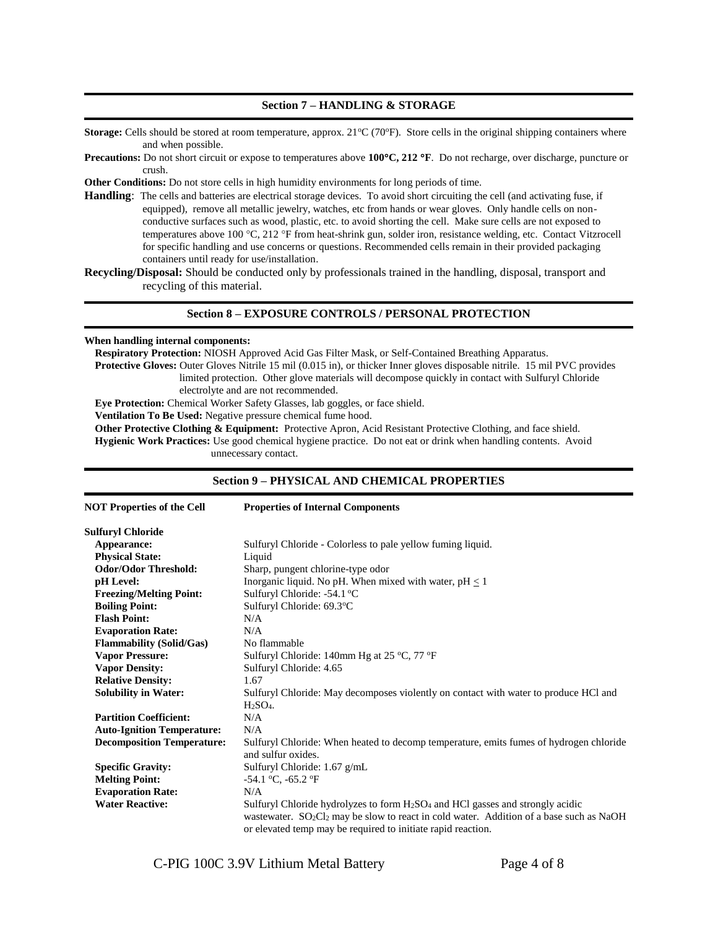#### **Section 7 – HANDLING & STORAGE**

**Storage:** Cells should be stored at room temperature, approx. 21°C (70°F). Store cells in the original shipping containers where and when possible.

**Precautions:** Do not short circuit or expose to temperatures above **100C, 212 F**. Do not recharge, over discharge, puncture or crush.

**Other Conditions:** Do not store cells in high humidity environments for long periods of time.

**Handling**: The cells and batteries are electrical storage devices. To avoid short circuiting the cell (and activating fuse, if equipped), remove all metallic jewelry, watches, etc from hands or wear gloves. Only handle cells on nonconductive surfaces such as wood, plastic, etc. to avoid shorting the cell. Make sure cells are not exposed to temperatures above 100 °C, 212 °F from heat-shrink gun, solder iron, resistance welding, etc. Contact Vitzrocell for specific handling and use concerns or questions. Recommended cells remain in their provided packaging containers until ready for use/installation.

**Recycling/Disposal:** Should be conducted only by professionals trained in the handling, disposal, transport and recycling of this material.

#### **Section 8 – EXPOSURE CONTROLS / PERSONAL PROTECTION**

#### **When handling internal components:**

**Respiratory Protection:** NIOSH Approved Acid Gas Filter Mask, or Self-Contained Breathing Apparatus. **Protective Gloves:** Outer Gloves Nitrile 15 mil (0.015 in), or thicker Inner gloves disposable nitrile. 15 mil PVC provides limited protection. Other glove materials will decompose quickly in contact with Sulfuryl Chloride electrolyte and are not recommended.

**Eye Protection:** Chemical Worker Safety Glasses, lab goggles, or face shield.

**Ventilation To Be Used:** Negative pressure chemical fume hood.

**Other Protective Clothing & Equipment:** Protective Apron, Acid Resistant Protective Clothing, and face shield. **Hygienic Work Practices:** Use good chemical hygiene practice. Do not eat or drink when handling contents. Avoid unnecessary contact.

#### **Section 9 – PHYSICAL AND CHEMICAL PROPERTIES**

| <b>NOT Properties of the Cell</b> | <b>Properties of Internal Components</b>                                                                                                                                                                                                                             |  |
|-----------------------------------|----------------------------------------------------------------------------------------------------------------------------------------------------------------------------------------------------------------------------------------------------------------------|--|
| <b>Sulfuryl Chloride</b>          |                                                                                                                                                                                                                                                                      |  |
| Appearance:                       | Sulfuryl Chloride - Colorless to pale yellow fuming liquid.                                                                                                                                                                                                          |  |
| <b>Physical State:</b>            | Liquid                                                                                                                                                                                                                                                               |  |
| <b>Odor/Odor Threshold:</b>       | Sharp, pungent chlorine-type odor                                                                                                                                                                                                                                    |  |
| pH Level:                         | Inorganic liquid. No pH. When mixed with water, $pH < 1$                                                                                                                                                                                                             |  |
| <b>Freezing/Melting Point:</b>    | Sulfuryl Chloride: -54.1 °C                                                                                                                                                                                                                                          |  |
| <b>Boiling Point:</b>             | Sulfuryl Chloride: 69.3°C                                                                                                                                                                                                                                            |  |
| <b>Flash Point:</b>               | N/A                                                                                                                                                                                                                                                                  |  |
| <b>Evaporation Rate:</b>          | N/A                                                                                                                                                                                                                                                                  |  |
| <b>Flammability (Solid/Gas)</b>   | No flammable                                                                                                                                                                                                                                                         |  |
| <b>Vapor Pressure:</b>            | Sulfuryl Chloride: 140mm Hg at 25 $\degree$ C, 77 $\degree$ F                                                                                                                                                                                                        |  |
| <b>Vapor Density:</b>             | Sulfuryl Chloride: 4.65                                                                                                                                                                                                                                              |  |
| <b>Relative Density:</b>          | 1.67                                                                                                                                                                                                                                                                 |  |
| <b>Solubility in Water:</b>       | Sulfuryl Chloride: May decomposes violently on contact with water to produce HCl and                                                                                                                                                                                 |  |
|                                   | $H2SO4$ .                                                                                                                                                                                                                                                            |  |
| <b>Partition Coefficient:</b>     | N/A                                                                                                                                                                                                                                                                  |  |
| <b>Auto-Ignition Temperature:</b> | N/A                                                                                                                                                                                                                                                                  |  |
| <b>Decomposition Temperature:</b> | Sulfuryl Chloride: When heated to decomp temperature, emits fumes of hydrogen chloride<br>and sulfur oxides.                                                                                                                                                         |  |
| <b>Specific Gravity:</b>          | Sulfuryl Chloride: 1.67 g/mL                                                                                                                                                                                                                                         |  |
| <b>Melting Point:</b>             | $-54.1$ °C, $-65.2$ °F                                                                                                                                                                                                                                               |  |
| <b>Evaporation Rate:</b>          | N/A                                                                                                                                                                                                                                                                  |  |
| <b>Water Reactive:</b>            | Sulfuryl Chloride hydrolyzes to form $H_2SO_4$ and HCl gasses and strongly acidic<br>wastewater. SO <sub>2</sub> Cl <sub>2</sub> may be slow to react in cold water. Addition of a base such as NaOH<br>or elevated temp may be required to initiate rapid reaction. |  |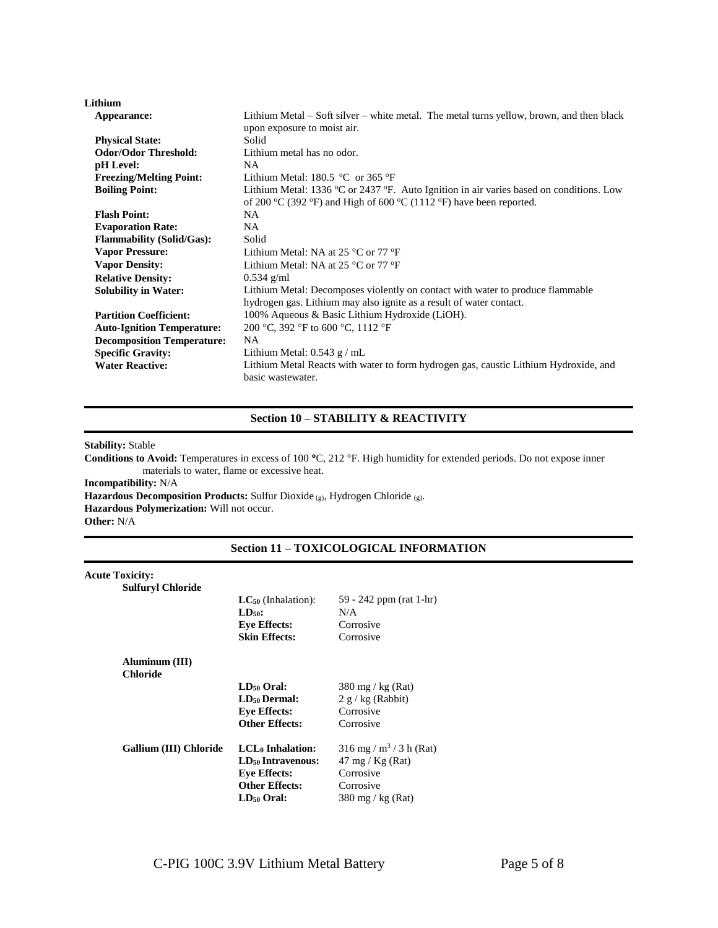| Lithium                           |                                                                                                                                                                |  |
|-----------------------------------|----------------------------------------------------------------------------------------------------------------------------------------------------------------|--|
| Appearance:                       | Lithium Metal – Soft silver – white metal. The metal turns yellow, brown, and then black                                                                       |  |
|                                   | upon exposure to moist air.                                                                                                                                    |  |
| <b>Physical State:</b>            | Solid                                                                                                                                                          |  |
| <b>Odor/Odor Threshold:</b>       | Lithium metal has no odor.                                                                                                                                     |  |
| pH Level:                         | NA                                                                                                                                                             |  |
| <b>Freezing/Melting Point:</b>    | Lithium Metal: $180.5 \text{ °C}$ or $365 \text{ °F}$                                                                                                          |  |
| <b>Boiling Point:</b>             | Lithium Metal: 1336 °C or 2437 °F. Auto Ignition in air varies based on conditions. Low<br>of 200 °C (392 °F) and High of 600 °C (1112 °F) have been reported. |  |
| <b>Flash Point:</b>               | NA.                                                                                                                                                            |  |
| <b>Evaporation Rate:</b>          | NA.                                                                                                                                                            |  |
| <b>Flammability (Solid/Gas):</b>  | Solid                                                                                                                                                          |  |
| <b>Vapor Pressure:</b>            | Lithium Metal: NA at 25 $^{\circ}$ C or 77 $^{\circ}$ F                                                                                                        |  |
| <b>Vapor Density:</b>             | Lithium Metal: NA at 25 $^{\circ}$ C or 77 $^{\circ}$ F                                                                                                        |  |
| <b>Relative Density:</b>          | $0.534$ g/ml                                                                                                                                                   |  |
| <b>Solubility in Water:</b>       | Lithium Metal: Decomposes violently on contact with water to produce flammable                                                                                 |  |
|                                   | hydrogen gas. Lithium may also ignite as a result of water contact.                                                                                            |  |
| <b>Partition Coefficient:</b>     | 100% Aqueous & Basic Lithium Hydroxide (LiOH).                                                                                                                 |  |
| <b>Auto-Ignition Temperature:</b> | 200 °C, 392 °F to 600 °C, 1112 °F                                                                                                                              |  |
| <b>Decomposition Temperature:</b> | <b>NA</b>                                                                                                                                                      |  |
| <b>Specific Gravity:</b>          | Lithium Metal: $0.543$ g / mL                                                                                                                                  |  |
| <b>Water Reactive:</b>            | Lithium Metal Reacts with water to form hydrogen gas, caustic Lithium Hydroxide, and<br>basic wastewater.                                                      |  |

# **Section 10 – STABILITY & REACTIVITY**

**Stability:** Stable

Conditions to Avoid: Temperatures in excess of 100 °C, 212 °F. High humidity for extended periods. Do not expose inner materials to water, flame or excessive heat.

**Incompatibility:** N/A

**Hazardous Decomposition Products:** Sulfur Dioxide (g), Hydrogen Chloride (g).

**Hazardous Polymerization:** Will not occur.

**Other:** N/A

# **Section 11 – TOXICOLOGICAL INFORMATION**

| <b>Acute Toxicity:</b><br><b>Sulfuryl Chloride</b> |                               |                                       |
|----------------------------------------------------|-------------------------------|---------------------------------------|
|                                                    | $LC_{50}$ (Inhalation):       | 59 - 242 ppm (rat 1-hr)               |
|                                                    | $LD50$ :                      | N/A                                   |
|                                                    | <b>Eye Effects:</b>           | Corrosive                             |
|                                                    | <b>Skin Effects:</b>          | Corrosive                             |
| Aluminum (III)<br><b>Chloride</b>                  |                               |                                       |
|                                                    | LD <sub>50</sub> Oral:        | 380 mg / kg (Rat)                     |
|                                                    | LD <sub>50</sub> Dermal:      | $2 g/kg$ (Rabbit)                     |
|                                                    | <b>Eye Effects:</b>           | Corrosive                             |
|                                                    | <b>Other Effects:</b>         | Corrosive                             |
| Gallium (III) Chloride                             | LCL <sub>0</sub> Inhalation:  | $316$ mg / m <sup>3</sup> / 3 h (Rat) |
|                                                    | LD <sub>50</sub> Intravenous: | $47 \text{ mg}$ / Kg (Rat)            |
|                                                    | <b>Eye Effects:</b>           | Corrosive                             |
|                                                    | <b>Other Effects:</b>         | Corrosive                             |
|                                                    | $LD_{50}$ Oral:               | $380 \text{ mg}$ / kg (Rat)           |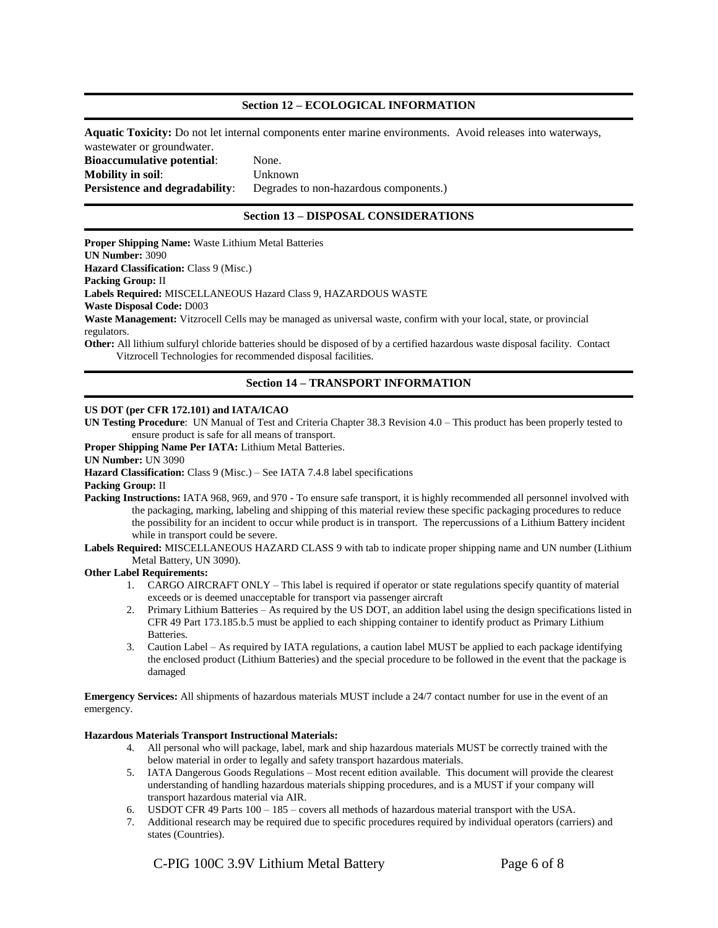## **Section 12 – ECOLOGICAL INFORMATION**

**Aquatic Toxicity:** Do not let internal components enter marine environments. Avoid releases into waterways, wastewater or groundwater. **Bioaccumulative potential**: None.

**Mobility in soil**: Unknown **Persistence and degradability:** Degrades to non-hazardous components.)

# **Section 13 – DISPOSAL CONSIDERATIONS**

**Proper Shipping Name:** Waste Lithium Metal Batteries **UN Number:** 3090 **Hazard Classification: Class 9 (Misc.) Packing Group:** II **Labels Required:** MISCELLANEOUS Hazard Class 9, HAZARDOUS WASTE **Waste Disposal Code:** D003 **Waste Management:** Vitzrocell Cells may be managed as universal waste, confirm with your local, state, or provincial regulators. **Other:** All lithium sulfuryl chloride batteries should be disposed of by a certified hazardous waste disposal facility. Contact Vitzrocell Technologies for recommended disposal facilities.

# **Section 14 – TRANSPORT INFORMATION**

#### **US DOT (per CFR 172.101) and IATA/ICAO**

**UN Testing Procedure**: UN Manual of Test and Criteria Chapter 38.3 Revision 4.0 – This product has been properly tested to ensure product is safe for all means of transport.

**Proper Shipping Name Per IATA:** Lithium Metal Batteries.

#### **UN Number:** UN 3090

Hazard Classification: Class 9 (Misc.) – See IATA 7.4.8 label specifications

#### **Packing Group:** II

Packing Instructions: IATA 968, 969, and 970 - To ensure safe transport, it is highly recommended all personnel involved with the packaging, marking, labeling and shipping of this material review these specific packaging procedures to reduce the possibility for an incident to occur while product is in transport. The repercussions of a Lithium Battery incident while in transport could be severe.

**Labels Required:** MISCELLANEOUS HAZARD CLASS 9 with tab to indicate proper shipping name and UN number (Lithium Metal Battery, UN 3090).

#### **Other Label Requirements:**

- 1. CARGO AIRCRAFT ONLY This label is required if operator or state regulations specify quantity of material exceeds or is deemed unacceptable for transport via passenger aircraft
- 2. Primary Lithium Batteries As required by the US DOT, an addition label using the design specifications listed in CFR 49 Part 173.185.b.5 must be applied to each shipping container to identify product as Primary Lithium Batteries.
- 3. Caution Label As required by IATA regulations, a caution label MUST be applied to each package identifying the enclosed product (Lithium Batteries) and the special procedure to be followed in the event that the package is damaged

**Emergency Services:** All shipments of hazardous materials MUST include a 24/7 contact number for use in the event of an emergency.

#### **Hazardous Materials Transport Instructional Materials:**

- 4. All personal who will package, label, mark and ship hazardous materials MUST be correctly trained with the below material in order to legally and safety transport hazardous materials.
- 5. IATA Dangerous Goods Regulations Most recent edition available. This document will provide the clearest understanding of handling hazardous materials shipping procedures, and is a MUST if your company will transport hazardous material via AIR.
- 6. USDOT CFR 49 Parts 100 185 covers all methods of hazardous material transport with the USA.
- 7. Additional research may be required due to specific procedures required by individual operators (carriers) and states (Countries).

C-PIG 100C 3.9V Lithium Metal Battery Page 6 of 8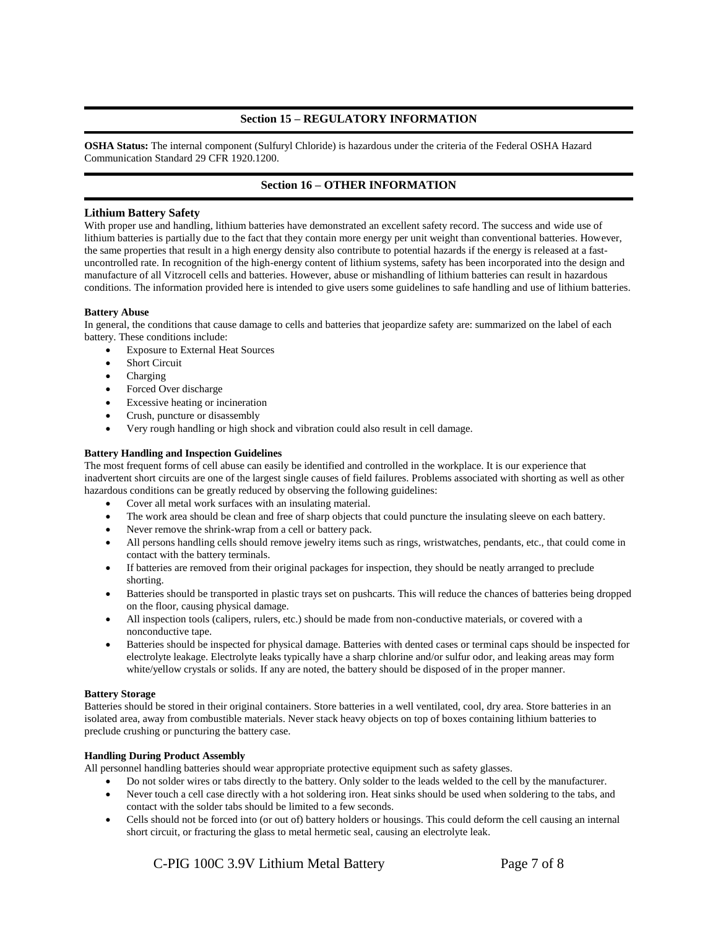# **Section 15 – REGULATORY INFORMATION**

**OSHA Status:** The internal component (Sulfuryl Chloride) is hazardous under the criteria of the Federal OSHA Hazard Communication Standard 29 CFR 1920.1200.

# **Section 16 – OTHER INFORMATION**

#### **Lithium Battery Safety**

With proper use and handling, lithium batteries have demonstrated an excellent safety record. The success and wide use of lithium batteries is partially due to the fact that they contain more energy per unit weight than conventional batteries. However, the same properties that result in a high energy density also contribute to potential hazards if the energy is released at a fastuncontrolled rate. In recognition of the high-energy content of lithium systems, safety has been incorporated into the design and manufacture of all Vitzrocell cells and batteries. However, abuse or mishandling of lithium batteries can result in hazardous conditions. The information provided here is intended to give users some guidelines to safe handling and use of lithium batteries.

#### **Battery Abuse**

In general, the conditions that cause damage to cells and batteries that jeopardize safety are: summarized on the label of each battery. These conditions include:

- Exposure to External Heat Sources
- Short Circuit
- Charging
- Forced Over discharge
- Excessive heating or incineration
- Crush, puncture or disassembly
- Very rough handling or high shock and vibration could also result in cell damage.

#### **Battery Handling and Inspection Guidelines**

The most frequent forms of cell abuse can easily be identified and controlled in the workplace. It is our experience that inadvertent short circuits are one of the largest single causes of field failures. Problems associated with shorting as well as other hazardous conditions can be greatly reduced by observing the following guidelines:

- Cover all metal work surfaces with an insulating material.
- The work area should be clean and free of sharp objects that could puncture the insulating sleeve on each battery.
- Never remove the shrink-wrap from a cell or battery pack.
- All persons handling cells should remove jewelry items such as rings, wristwatches, pendants, etc., that could come in contact with the battery terminals.
- If batteries are removed from their original packages for inspection, they should be neatly arranged to preclude shorting.
- Batteries should be transported in plastic trays set on pushcarts. This will reduce the chances of batteries being dropped on the floor, causing physical damage.
- All inspection tools (calipers, rulers, etc.) should be made from non-conductive materials, or covered with a nonconductive tape.
- Batteries should be inspected for physical damage. Batteries with dented cases or terminal caps should be inspected for electrolyte leakage. Electrolyte leaks typically have a sharp chlorine and/or sulfur odor, and leaking areas may form white/yellow crystals or solids. If any are noted, the battery should be disposed of in the proper manner.

#### **Battery Storage**

Batteries should be stored in their original containers. Store batteries in a well ventilated, cool, dry area. Store batteries in an isolated area, away from combustible materials. Never stack heavy objects on top of boxes containing lithium batteries to preclude crushing or puncturing the battery case.

#### **Handling During Product Assembly**

All personnel handling batteries should wear appropriate protective equipment such as safety glasses.

- Do not solder wires or tabs directly to the battery. Only solder to the leads welded to the cell by the manufacturer.
- Never touch a cell case directly with a hot soldering iron. Heat sinks should be used when soldering to the tabs, and contact with the solder tabs should be limited to a few seconds.
- Cells should not be forced into (or out of) battery holders or housings. This could deform the cell causing an internal short circuit, or fracturing the glass to metal hermetic seal, causing an electrolyte leak.